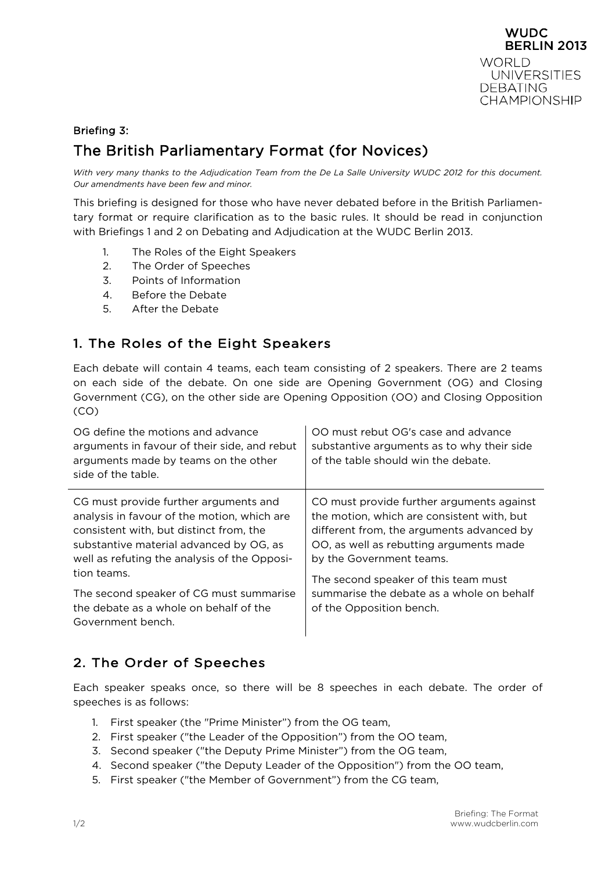

# Briefing 3: The British Parliamentary Format (for Novices)

*With very many thanks to the Adjudication Team from the De La Salle University WUDC 2012 for this document. Our amendments have been few and minor.*

This briefing is designed for those who have never debated before in the British Parliamentary format or require clarification as to the basic rules. It should be read in conjunction with Briefings 1 and 2 on Debating and Adjudication at the WUDC Berlin 2013.

- 1. The Roles of the Eight Speakers
- 2. The Order of Speeches
- 3. Points of Information
- 4. Before the Debate
- 5. After the Debate

### 1. The Roles of the Eight Speakers

Each debate will contain 4 teams, each team consisting of 2 speakers. There are 2 teams on each side of the debate. On one side are Opening Government (OG) and Closing Government (CG), on the other side are Opening Opposition (OO) and Closing Opposition (CO)

| arguments in favour of their side, and rebut<br>arguments made by teams on the other<br>side of the table.                                                                                                                                                                                                                                          | substantive arguments as to why their side<br>of the table should win the debate.                                                                                                                                                                                                                                            |
|-----------------------------------------------------------------------------------------------------------------------------------------------------------------------------------------------------------------------------------------------------------------------------------------------------------------------------------------------------|------------------------------------------------------------------------------------------------------------------------------------------------------------------------------------------------------------------------------------------------------------------------------------------------------------------------------|
| CG must provide further arguments and<br>analysis in favour of the motion, which are<br>consistent with, but distinct from, the<br>substantive material advanced by OG, as<br>well as refuting the analysis of the Opposi-<br>tion teams.<br>The second speaker of CG must summarise<br>the debate as a whole on behalf of the<br>Government bench. | CO must provide further arguments against<br>the motion, which are consistent with, but<br>different from, the arguments advanced by<br>OO, as well as rebutting arguments made<br>by the Government teams.<br>The second speaker of this team must<br>summarise the debate as a whole on behalf<br>of the Opposition bench. |

### 2. The Order of Speeches

Each speaker speaks once, so there will be 8 speeches in each debate. The order of speeches is as follows:

- 1. First speaker (the "Prime Minister") from the OG team,
- 2. First speaker ("the Leader of the Opposition") from the OO team,
- 3. Second speaker ("the Deputy Prime Minister") from the OG team,
- 4. Second speaker ("the Deputy Leader of the Opposition") from the OO team,
- 5. First speaker ("the Member of Government") from the CG team,